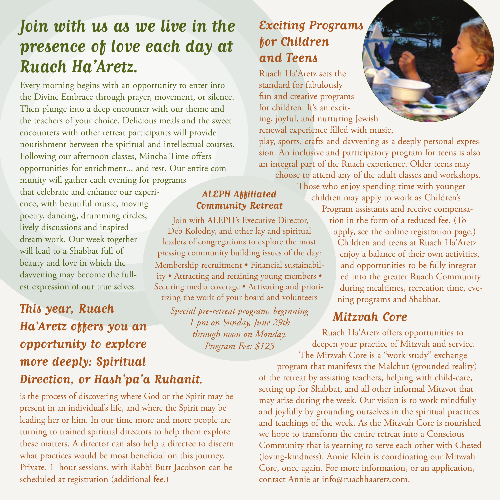# **Join with us as we live in the presence of love each day at Ruach Ha'Aretz.**

Every morning begins with an opportunity to enter into the Divine Embrace through prayer, movement, or silence. Then plunge into a deep encounter with our theme and the teachers of your choice. Delicious meals and the sweet encounters with other retreat participants will provide nourishment between the spiritual and intellectual courses. Following our afternoon classes, Mincha Time offers opportunities for enrichment... and rest. Our entire community will gather each evening for programs

that celebrate and enhance our experience, with beautiful music, moving poetry, dancing, drumming circles, lively discussions and inspired dream work. Our week together will lead to a Shabbat full of beauty and love in which the davvening may become the fullest expression of our true selves. Securing media coverage • Activating and priori-

# **This year, Ruach Ha'Aretz offers you an opportunity to explore more deeply: Spiritual Direction, or Hash'pa'a Ruhanit,** tizing the work of your board and volunteers *Special pre-retreat program, beginning*

is the process of discovering where God or the Spirit may be present in an individual's life, and where the Spirit may be leading her or him. In our time more and more people are turning to trained spiritual directors to help them explore these matters. A director can also help a directee to discern what practices would be most beneficial on this journey. Private, 1–hour sessions, with Rabbi Burt Jacobson can be scheduled at registration (additional fee.)

# **Exciting Programs for Children and Teens**

**ALEPH Affiliated Community Retreat**  Join with ALEPH's Executive Director, Deb Kolodny, and other lay and spiritual leaders of congregations to explore the most pressing community building issues of the day: Membership recruitment • Financial sustainability • Attracting and retaining young members •

> *1 pm on Sunday, June 29th through noon on Monday. Program Fee: \$125*

Ruach Ha'Aretz sets the standard for fabulously fun and creative programs for children. It's an exciting, joyful, and nurturing Jewish renewal experience filled with music,

play, sports, crafts and davvening as a deeply personal expression. An inclusive and participatory program for teens is also an integral part of the Ruach experience. Older teens may choose to attend any of the adult classes and workshops.

> Those who enjoy spending time with younger children may apply to work as Children's

Program assistants and receive compensation in the form of a reduced fee. (To apply, see the online registration page.) Children and teens at Ruach Ha'Aretz enjoy a balance of their own activities, and opportunities to be fully integrated into the greater Ruach Community during mealtimes, recreation time, evening programs and Shabbat.

# **Mitzvah Core**

Ruach Ha'Aretz offers opportunities to deepen your practice of Mitzvah and service. The Mitzvah Core is a "work-study" exchange

program that manifests the Malchut (grounded reality) of the retreat by assisting teachers, helping with child-care, setting up for Shabbat, and all other informal Mitzvot that may arise during the week. Our vision is to work mindfully and joyfully by grounding ourselves in the spiritual practices and teachings of the week. As the Mitzvah Core is nourished we hope to transform the entire retreat into a Conscious Community that is yearning to serve each other with Chesed (loving-kindness). Annie Klein is coordinating our Mitzvah Core, once again. For more information, or an application, contact Annie at info@ruachhaaretz.com.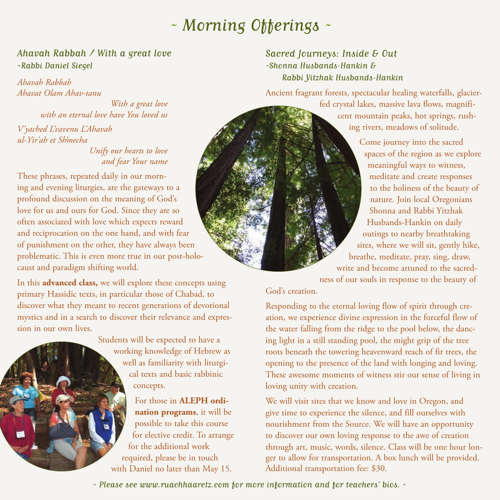# ~ Morning Offerings ~

#### Ahavah Rabbah / With a great love ~Rabbi Daniel Siegel

*Ahavah Rabbah Ahavat Olam Ahav-tanu*

> *With a great love with an eternal love have You loved us*

*V'yached L'vavenu L'Ahavah ul-Yir'ah et Sh'mecha*

#### *Unify our hearts to love and fear Your name*

These phrases, repeated daily in our morning and evening liturgies, are the gateways to a profound discussion on the meaning of God's love for us and ours for God. Since they are so often associated with love which expects reward and reciprocation on the one hand, and with fear of punishment on the other, they have always been problematic. This is even more true in our post-holocaust and paradigm shifting world.

In this **advanced class,** we will explore these concepts using primary Hassidic texts, in particular those of Chabad, to discover what they meant to recent generations of devotional mystics and in a search to discover their relevance and expression in our own lives.

> Students will be expected to have a working knowledge of Hebrew as well as familiarity with liturgical texts and basic rabbinic concepts.

For those in **ALEPH ordination programs**, it will be possible to take this course for elective credit. To arrange for the additional work required, please be in touch with Daniel no later than May 15.

#### Sacred Journeys: Inside & Out ~Shonna Husbands-Hankin & Rabbi Yitzhak Husbands-Hankin

Ancient fragrant forests, spectacular healing waterfalls, glacierfed crystal lakes, massive lava flows, magnificent mountain peaks, hot springs, rushing rivers, meadows of solitude.

> Come journey into the sacred spaces of the region as we explore meaningful ways to witness, meditate and create responses to the holiness of the beauty of nature. Join local Oregonians Shonna and Rabbi Yitzhak Husbands-Hankin on daily outings to nearby breathtaking sites, where we will sit, gently hike, breathe, meditate, pray, sing, draw, write and become attuned to the sacredness of our souls in response to the beauty of

#### God's creation.

Responding to the eternal loving flow of spirit through creation, we experience divine expression in the forceful flow of the water falling from the ridge to the pool below, the dancing light in a still standing pool, the might grip of the tree roots beneath the towering heavenward reach of fir trees, the opening to the presence of the land with longing and loving. These awesome moments of witness stir our sense of living in loving unity with creation.

We will visit sites that we know and love in Oregon, and give time to experience the silence, and fill ourselves with nourishment from the Source. We will have an opportunity to discover our own loving response to the awe of creation through art, music, words, silence. Class will be one hour longer to allow for transportation. A box lunch will be provided. Additional transportation fee: \$30.

~ Please see www.ruachhaaretz.com for more information and for teachers' bios. ~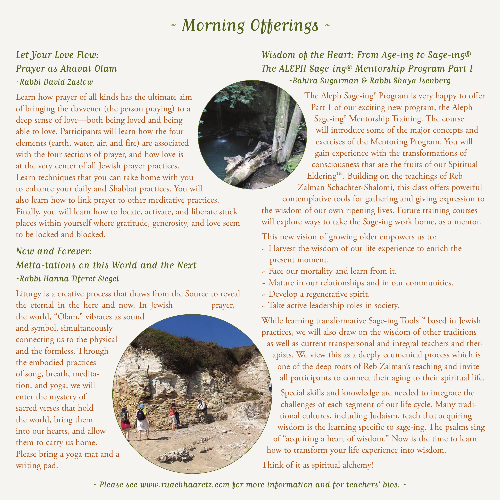# ~ Morning Offerings ~

#### Let Your Love Flow: Prayer as Ahavat Olam ~Rabbi David Zaslow

Learn how prayer of all kinds has the ultimate aim of bringing the davvener (the person praying) to a deep sense of love—both being loved and being able to love. Participants will learn how the four elements (earth, water, air, and fire) are associated with the four sections of prayer, and how love is at the very center of all Jewish prayer practices. Learn techniques that you can take home with you to enhance your daily and Shabbat practices. You will also learn how to link prayer to other meditative practices. Finally, you will learn how to locate, activate, and liberate stuck places within yourself where gratitude, generosity, and love seem to be locked and blocked.

#### Now and Forever:

## Metta-tations on this World and the Next ~Rabbi Hanna Tiferet Siegel

Liturgy is a creative process that draws from the Source to reveal the eternal in the here and now. In Jewish prayer,

the world, "Olam," vibrates as sound and symbol, simultaneously connecting us to the physical and the formless. Through the embodied practices of song, breath, meditation, and yoga, we will enter the mystery of sacred verses that hold the world, bring them into our hearts, and allow them to carry us home. Please bring a yoga mat and a writing pad.



Wisdom of the Heart: From Age-ing to Sage-ing® The ALEPH Sage-ing® Mentorship Program Part I ~Bahira Sugarman & Rabbi Shaya Isenberg

> The Aleph Sage-ing® Program is very happy to offer Part 1 of our exciting new program, the Aleph Sage-ing® Mentorship Training. The course will introduce some of the major concepts and exercises of the Mentoring Program. You will gain experience with the transformations of consciousness that are the fruits of our Spiritual Eldering<sup>TM</sup>. Building on the teachings of Reb Zalman Schachter-Shalomi, this class offers powerful

contemplative tools for gathering and giving expression to the wisdom of our own ripening lives. Future training courses will explore ways to take the Sage-ing work home, as a mentor.

This new vision of growing older empowers us to:

- ~ Harvest the wisdom of our life experience to enrich the present moment.
- ~ Face our mortality and learn from it.
- ~ Mature in our relationships and in our communities.
- ~ Develop a regenerative spirit.
- ~ Take active leadership roles in society.

While learning transformative Sage-ing Tools™ based in Jewish practices, we will also draw on the wisdom of other traditions as well as current transpersonal and integral teachers and therapists. We view this as a deeply ecumenical process which is one of the deep roots of Reb Zalman's teaching and invite all participants to connect their aging to their spiritual life.

Special skills and knowledge are needed to integrate the challenges of each segment of our life cycle. Many traditional cultures, including Judaism, teach that acquiring wisdom is the learning specific to sage-ing. The psalms sing of "acquiring a heart of wisdom." Now is the time to learn how to transform your life experience into wisdom.

Think of it as spiritual alchemy!

~ Please see www.ruachhaaretz.com for more information and for teachers' bios. ~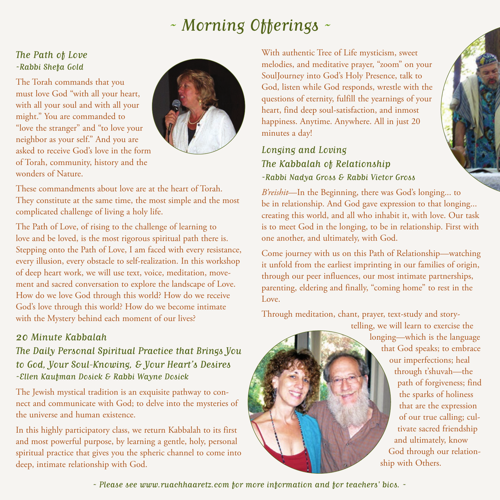# $\sim$  Morning Offerings  $\sim$

#### The Path of Love ~Rabbi Shefa Gold

The Torah commands that you must love God "with all your heart, with all your soul and with all your might." You are commanded to "love the stranger" and "to love your neighbor as your self." And you are asked to receive God's love in the form of Torah, community, history and the wonders of Nature.



These commandments about love are at the heart of Torah. They constitute at the same time, the most simple and the most complicated challenge of living a holy life.

The Path of Love, of rising to the challenge of learning to love and be loved, is the most rigorous spiritual path there is. Stepping onto the Path of Love, I am faced with every resistance, every illusion, every obstacle to self-realization. In this workshop of deep heart work, we will use text, voice, meditation, movement and sacred conversation to explore the landscape of Love. How do we love God through this world? How do we receive God's love through this world? How do we become intimate with the Mystery behind each moment of our lives?

#### 20 Minute Kabbalah

The Daily Personal Spiritual Practice that Brings You to God, Your Soul-Knowing, & Your Heart's Desires ~Ellen Kaufman Dosick & Rabbi Wayne Dosick

The Jewish mystical tradition is an exquisite pathway to connect and communicate with God; to delve into the mysteries of the universe and human existence.

In this highly participatory class, we return Kabbalah to its first and most powerful purpose, by learning a gentle, holy, personal spiritual practice that gives you the spheric channel to come into deep, intimate relationship with God.

With authentic Tree of Life mysticism, sweet melodies, and meditative prayer, "zoom" on your SoulJourney into God's Holy Presence, talk to God, listen while God responds, wrestle with the questions of eternity, fulfill the yearnings of your heart, find deep soul-satisfaction, and inmost happiness. Anytime. Anywhere. All in just 20 minutes a day!

Longing and Loving The Kabbalah of Relationship ~Rabbi Nadya Gross & Rabbi Victor Gross

*B'reishit*—In the Beginning, there was God's longing... to be in relationship. And God gave expression to that longing... creating this world, and all who inhabit it, with love. Our task is to meet God in the longing, to be in relationship. First with one another, and ultimately, with God.

Come journey with us on this Path of Relationship—watching it unfold from the earliest imprinting in our families of origin, through our peer influences, our most intimate partnerships, parenting, eldering and finally, "coming home" to rest in the Love.

Through meditation, chant, prayer, text-study and story-

telling, we will learn to exercise the longing—which is the language that God speaks; to embrace our imperfections; heal through t'shuvah—the path of forgiveness; find the sparks of holiness that are the expression of our true calling; cultivate sacred friendship and ultimately, know God through our relationship with Others.

~ Please see www.ruachhaaretz.com for more information and for teachers' bios. ~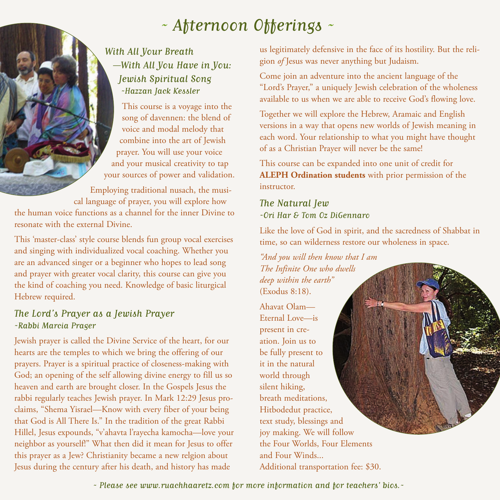# ~ Afternoon Offerings ~

## With All Your Breath —With All You Have in You: Jewish Spiritual Song ~Hazzan Jack Kessler

This course is a voyage into the song of davennen: the blend of voice and modal melody that combine into the art of Jewish prayer. You will use your voice and your musical creativity to tap your sources of power and validation.

Employing traditional nusach, the musical language of prayer, you will explore how the human voice functions as a channel for the inner Divine to resonate with the external Divine.

This 'master-class' style course blends fun group vocal exercises and singing with individualized vocal coaching. Whether you are an advanced singer or a beginner who hopes to lead song and prayer with greater vocal clarity, this course can give you the kind of coaching you need. Knowledge of basic liturgical Hebrew required.

## The Lord's Prayer as a Jewish Prayer ~Rabbi Marcia Prager

Jewish prayer is called the Divine Service of the heart, for our hearts are the temples to which we bring the offering of our prayers. Prayer is a spiritual practice of closeness-making with God; an opening of the self allowing divine energy to fill us so heaven and earth are brought closer. In the Gospels Jesus the rabbi regularly teaches Jewish prayer. In Mark 12:29 Jesus proclaims, "Shema Yisrael—Know with every fiber of your being that God is All There Is." In the tradition of the great Rabbi Hillel, Jesus expounds, "v'ahavta l'rayecha kamocha—love your neighbor as yourself!" What then did it mean for Jesus to offer this prayer as a Jew? Christianity became a new relgion about Jesus during the century after his death, and history has made

us legitimately defensive in the face of its hostility. But the religion *of* Jesus was never anything but Judaism.

Come join an adventure into the ancient language of the "Lord's Prayer," a uniquely Jewish celebration of the wholeness available to us when we are able to receive God's flowing love.

Together we will explore the Hebrew, Aramaic and English versions in a way that opens new worlds of Jewish meaning in each word. Your relationship to what you might have thought of as a Christian Prayer will never be the same!

This course can be expanded into one unit of credit for **ALEPH Ordination students** with prior permission of the instructor.

#### The Natural Jew ~Ori Har & Tom Oz DiGennaro

Like the love of God in spirit, and the sacredness of Shabbat in time, so can wilderness restore our wholeness in space.

*"And you will then know that I am The Infinite One who dwells deep within the earth"* (Exodus 8:18).

Ahavat Olam— Eternal Love—is present in creation. Join us to be fully present to it in the natural world through silent hiking, breath meditations, Hitbodedut practice, text study, blessings and joy making. We will follow the Four Worlds, Four Elements and Four Winds... Additional transportation fee: \$30.

~ Please see www.ruachhaaretz.com for more information and for teachers' bios.~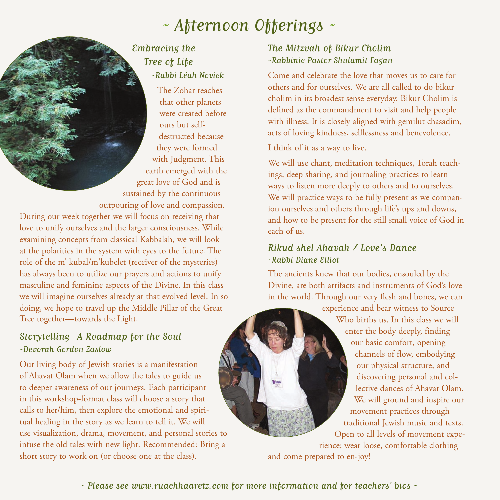# ~ Afternoon Offerings ~

#### Embracing the Tree of Life ~Rabbi Léah Novick

The Zohar teaches that other planets were created before ours but selfdestructed because they were formed with Judgment. This earth emerged with the great love of God and is sustained by the continuous

outpouring of love and compassion. During our week together we will focus on receiving that love to unify ourselves and the larger consciousness. While examining concepts from classical Kabbalah, we will look at the polarities in the system with eyes to the future. The role of the m' kubal/m'kubelet (receiver of the mysteries) has always been to utilize our prayers and actions to unify masculine and feminine aspects of the Divine. In this class we will imagine ourselves already at that evolved level. In so doing, we hope to travel up the Middle Pillar of the Great Tree together--towards the Light.

#### Storytelling—A Roadmap for the Soul ~Devorah Gordon Zaslow

Our living body of Jewish stories is a manifestation of Ahavat Olam when we allow the tales to guide us to deeper awareness of our journeys. Each participant in this workshop-format class will choose a story that calls to her/him, then explore the emotional and spiritual healing in the story as we learn to tell it. We will use visualization, drama, movement, and personal stories to infuse the old tales with new light. Recommended: Bring a short story to work on (or choose one at the class).

#### The Mitzvah of Bikur Cholim ~Rabbinic Pastor Shulamit Fagan

Come and celebrate the love that moves us to care for others and for ourselves. We are all called to do bikur cholim in its broadest sense everyday. Bikur Cholim is defined as the commandment to visit and help people with illness. It is closely aligned with gemilut chasadim, acts of loving kindness, selflessness and benevolence.

I think of it as a way to live.

We will use chant, meditation techniques, Torah teachings, deep sharing, and journaling practices to learn ways to listen more deeply to others and to ourselves. We will practice ways to be fully present as we companion ourselves and others through life's ups and downs, and how to be present for the still small voice of God in each of us.

#### Rikud shel Ahavah / Love's Dance ~Rabbi Diane Elliot

The ancients knew that our bodies, ensouled by the Divine, are both artifacts and instruments of God's love in the world. Through our very flesh and bones, we can

> experience and bear witness to Source Who births us. In this class we will enter the body deeply, finding our basic comfort, opening channels of flow, embodying our physical structure, and discovering personal and collective dances of Ahavat Olam. We will ground and inspire our movement practices through traditional Jewish music and texts. Open to all levels of movement experience; wear loose, comfortable clothing

and come prepared to en-joy!

 $\sim$  Please see www.ruachhaaretz.com for more information and for teachers' bios  $\sim$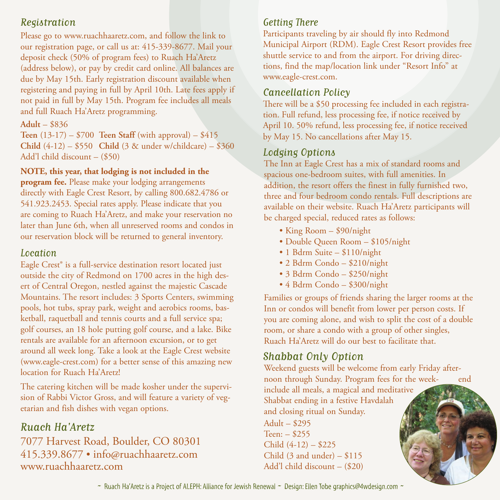## Registration

Please go to www.ruachhaaretz.com, and follow the link to our registration page, or call us at: 415-339-8677. Mail your deposit check (50% of program fees) to Ruach Ha'Aretz (address below), or pay by credit card online. All balances are due by May 15th. Early registration discount available when registering and paying in full by April 10th. Late fees apply if not paid in full by May 15th. Program fee includes all meals and full Ruach Ha'Aretz programming.

#### **Adult** – \$836

**Teen** (13-17) – \$700 **Teen Staff** (with approval) – \$415 **Child** (4-12) – \$550 **Child** (3 & under w/childcare) – \$360 Add'l child discount – (\$50)

#### **NOTE, this year, that lodging is not included in the**

**program fee.** Please make your lodging arrangements directly with Eagle Crest Resort, by calling 800.682.4786 or 541.923.2453. Special rates apply. Please indicate that you are coming to Ruach Ha'Aretz, and make your reservation no later than June 6th, when all unreserved rooms and condos in our reservation block will be returned to general inventory.

#### Location

Eagle Crest® is a full-service destination resort located just outside the city of Redmond on 1700 acres in the high desert of Central Oregon, nestled against the majestic Cascade Mountains. The resort includes: 3 Sports Centers, swimming pools, hot tubs, spray park, weight and aerobics rooms, basketball, raquetball and tennis courts and a full service spa; golf courses, an 18 hole putting golf course, and a lake. Bike rentals are available for an afternoon excursion, or to get around all week long. Take a look at the Eagle Crest website (www.eagle-crest.com) for a better sense of this amazing new location for Ruach Ha'Aretz!

The catering kitchen will be made kosher under the supervision of Rabbi Victor Gross, and will feature a variety of vegetarian and fish dishes with vegan options.

## Ruach Ha'Aretz

7077 Harvest Road, Boulder, CO 80301 415.339.8677 • info@ruachhaaretz.com www.ruachhaaretz.com

### Getting There

Participants traveling by air should fly into Redmond Municipal Airport (RDM). Eagle Crest Resort provides free shuttle service to and from the airport. For driving directions, find the map/location link under "Resort Info" at www.eagle-crest.com.

## Cancellation Policy

There will be a \$50 processing fee included in each registration. Full refund, less processing fee, if notice received by April 10. 50% refund, less processing fee, if notice received by May 15. No cancellations after May 15.

## Lodging Options

The Inn at Eagle Crest has a mix of standard rooms and spacious one-bedroom suites, with full amenities. In addition, the resort offers the finest in fully furnished two, three and four bedroom condo rentals. Full descriptions are available on their website. Ruach Ha'Aretz participants will be charged special, reduced rates as follows:

- King Room \$90/night
- Double Queen Room \$105/night
- 1 Bdrm Suite \$110/night
- 2 Bdrm Condo \$210/night
- 3 Bdrm Condo \$250/night
- 4 Bdrm Condo \$300/night

Families or groups of friends sharing the larger rooms at the Inn or condos will benefit from lower per person costs. If you are coming alone, and wish to split the cost of a double room, or share a condo with a group of other singles, Ruach Ha'Aretz will do our best to facilitate that.

# Shabbat Only Option

Weekend guests will be welcome from early Friday afternoon through Sunday. Program fees for the week- end include all meals, a magical and meditative Shabbat ending in a festive Havdalah and closing ritual on Sunday.  $\text{Adult} - $295$ Teen: – \$255 Child (4-12) – \$225 Child  $(3 \text{ and under}) - $115$ Add'l child discount – (\$20)

 $\sim$  Ruach Ha'Aretz is a Project of ALEPH: Alliance for Jewish Renewal  $\sim$  Design: Ellen Tobe graphics@4wdesign.com  $\sim$